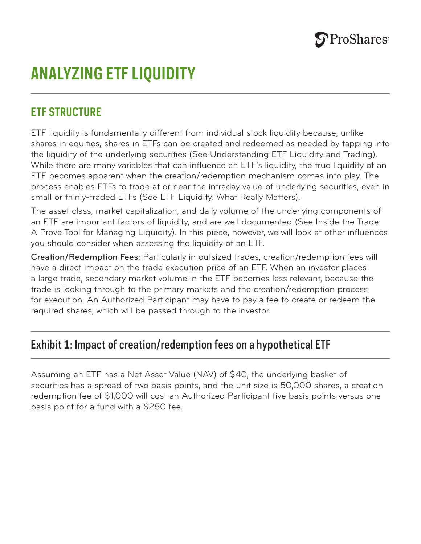

# **ANALYZING ETF LIQUIDITY**

## **ETF STRUCTURE**

ETF liquidity is fundamentally different from individual stock liquidity because, unlike shares in equities, shares in ETFs can be created and redeemed as needed by tapping into the liquidity of the underlying securities (See Understanding ETF Liquidity and Trading). While there are many variables that can influence an ETF's liquidity, the true liquidity of an ETF becomes apparent when the creation/redemption mechanism comes into play. The process enables ETFs to trade at or near the intraday value of underlying securities, even in small or thinly-traded ETFs (See ETF Liquidity: What Really Matters).

The asset class, market capitalization, and daily volume of the underlying components of an ETF are important factors of liquidity, and are well documented (See Inside the Trade: A Prove Tool for Managing Liquidity). In this piece, however, we will look at other influences you should consider when assessing the liquidity of an ETF.

Creation/Redemption Fees: Particularly in outsized trades, creation/redemption fees will have a direct impact on the trade execution price of an ETF. When an investor places a large trade, secondary market volume in the ETF becomes less relevant, because the trade is looking through to the primary markets and the creation/redemption process for execution. An Authorized Participant may have to pay a fee to create or redeem the required shares, which will be passed through to the investor.

### Exhibit 1: Impact of creation/redemption fees on a hypothetical ETF

Assuming an ETF has a Net Asset Value (NAV) of \$40, the underlying basket of securities has a spread of two basis points, and the unit size is 50,000 shares, a creation redemption fee of \$1,000 will cost an Authorized Participant five basis points versus one basis point for a fund with a \$250 fee.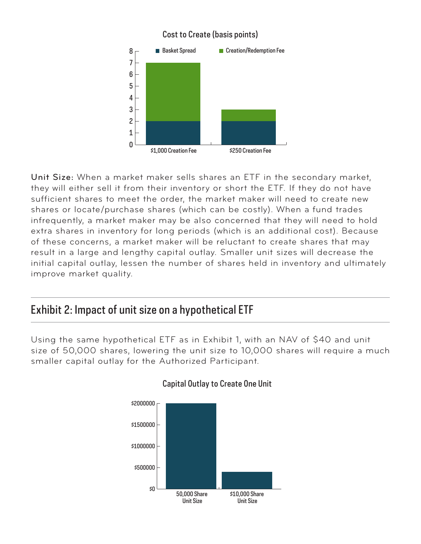

#### Unit Size: When a market maker sells shares an ETF in the secondary market, they will either sell it from their inventory or short the ETF. If they do not have sufficient shares to meet the order, the market maker will need to create new shares or locate/purchase shares (which can be costly). When a fund trades infrequently, a market maker may be also concerned that they will need to hold extra shares in inventory for long periods (which is an additional cost). Because of these concerns, a market maker will be reluctant to create shares that may result in a large and lengthy capital outlay. Smaller unit sizes will decrease the initial capital outlay, lessen the number of shares held in inventory and ultimately improve market quality.

# Exhibit 2: Impact of unit size on a hypothetical ETF

Using the same hypothetical ETF as in Exhibit 1, with an NAV of \$40 and unit size of 50,000 shares, lowering the unit size to 10,000 shares will require a much smaller capital outlay for the Authorized Participant.



#### Capital Outlay to Create One Unit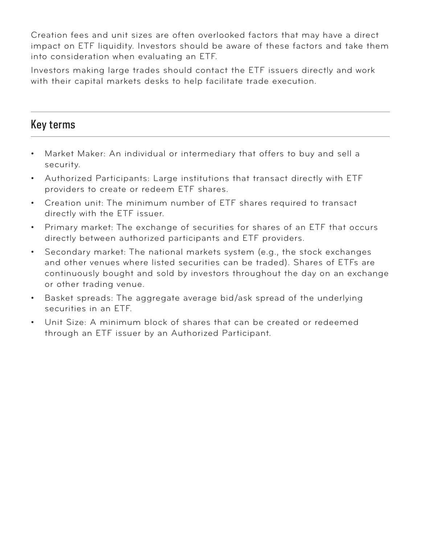Creation fees and unit sizes are often overlooked factors that may have a direct impact on ETF liquidity. Investors should be aware of these factors and take them into consideration when evaluating an ETF.

Investors making large trades should contact the ETF issuers directly and work with their capital markets desks to help facilitate trade execution.

### Key terms

- Market Maker: An individual or intermediary that offers to buy and sell a security.
- Authorized Participants: Large institutions that transact directly with ETF providers to create or redeem ETF shares.
- Creation unit: The minimum number of ETF shares required to transact directly with the ETF issuer.
- Primary market: The exchange of securities for shares of an ETF that occurs directly between authorized participants and ETF providers.
- Secondary market: The national markets system (e.g., the stock exchanges and other venues where listed securities can be traded). Shares of ETFs are continuously bought and sold by investors throughout the day on an exchange or other trading venue.
- Basket spreads: The aggregate average bid/ask spread of the underlying securities in an ETF.
- Unit Size: A minimum block of shares that can be created or redeemed through an ETF issuer by an Authorized Participant.